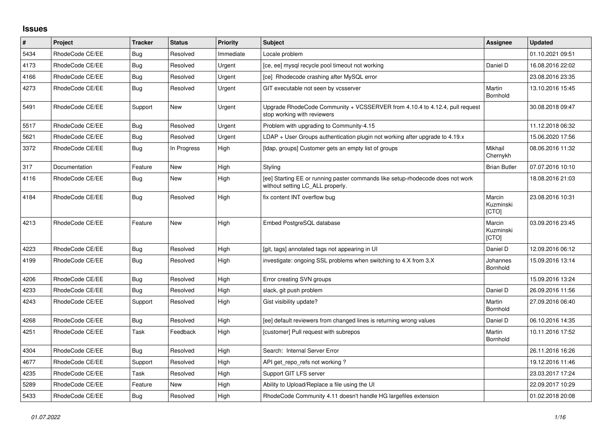## **Issues**

| $\sharp$ | Project         | <b>Tracker</b> | <b>Status</b> | <b>Priority</b> | <b>Subject</b>                                                                                                     | Assignee                     | <b>Updated</b>   |
|----------|-----------------|----------------|---------------|-----------------|--------------------------------------------------------------------------------------------------------------------|------------------------------|------------------|
| 5434     | RhodeCode CE/EE | Bug            | Resolved      | Immediate       | Locale problem                                                                                                     |                              | 01.10.2021 09:51 |
| 4173     | RhodeCode CE/EE | Bug            | Resolved      | Urgent          | [ce, ee] mysql recycle pool timeout not working                                                                    | Daniel D                     | 16.08.2016 22:02 |
| 4166     | RhodeCode CE/EE | <b>Bug</b>     | Resolved      | Urgent          | [ce] Rhodecode crashing after MySQL error                                                                          |                              | 23.08.2016 23:35 |
| 4273     | RhodeCode CE/EE | <b>Bug</b>     | Resolved      | Urgent          | GIT executable not seen by vcsserver                                                                               | Martin<br>Bornhold           | 13.10.2016 15:45 |
| 5491     | RhodeCode CE/EE | Support        | <b>New</b>    | Urgent          | Upgrade RhodeCode Community + VCSSERVER from 4.10.4 to 4.12.4, pull request<br>stop working with reviewers         |                              | 30.08.2018 09:47 |
| 5517     | RhodeCode CE/EE | Bug            | Resolved      | Urgent          | Problem with upgrading to Community-4.15                                                                           |                              | 11.12.2018 06:32 |
| 5621     | RhodeCode CE/EE | Bug            | Resolved      | Urgent          | LDAP + User Groups authentication plugin not working after upgrade to 4.19.x                                       |                              | 15.06.2020 17:56 |
| 3372     | RhodeCode CE/EE | Bug            | In Progress   | High            | [Idap, groups] Customer gets an empty list of groups                                                               | Mikhail<br>Chernykh          | 08.06.2016 11:32 |
| 317      | Documentation   | Feature        | <b>New</b>    | High            | Styling                                                                                                            | <b>Brian Butler</b>          | 07.07.2016 10:10 |
| 4116     | RhodeCode CE/EE | Bug            | New           | High            | [ee] Starting EE or running paster commands like setup-rhodecode does not work<br>without setting LC ALL properly. |                              | 18.08.2016 21:03 |
| 4184     | RhodeCode CE/EE | Bug            | Resolved      | High            | fix content INT overflow bug                                                                                       | Marcin<br>Kuzminski<br>[CTO] | 23.08.2016 10:31 |
| 4213     | RhodeCode CE/EE | Feature        | <b>New</b>    | High            | Embed PostgreSQL database                                                                                          | Marcin<br>Kuzminski<br>[CTO] | 03.09.2016 23:45 |
| 4223     | RhodeCode CE/EE | <b>Bug</b>     | Resolved      | High            | [git, tags] annotated tags not appearing in UI                                                                     | Daniel D                     | 12.09.2016 06:12 |
| 4199     | RhodeCode CE/EE | <b>Bug</b>     | Resolved      | High            | investigate: ongoing SSL problems when switching to 4.X from 3.X                                                   | Johannes<br>Bornhold         | 15.09.2016 13:14 |
| 4206     | RhodeCode CE/EE | Bug            | Resolved      | High            | Error creating SVN groups                                                                                          |                              | 15.09.2016 13:24 |
| 4233     | RhodeCode CE/EE | Bug            | Resolved      | High            | slack, git push problem                                                                                            | Daniel D                     | 26.09.2016 11:56 |
| 4243     | RhodeCode CE/EE | Support        | Resolved      | High            | Gist visibility update?                                                                                            | Martin<br>Bornhold           | 27.09.2016 06:40 |
| 4268     | RhodeCode CE/EE | Bug            | Resolved      | High            | [ee] default reviewers from changed lines is returning wrong values                                                | Daniel D                     | 06.10.2016 14:35 |
| 4251     | RhodeCode CE/EE | Task           | Feedback      | High            | [customer] Pull request with subrepos                                                                              | Martin<br>Bornhold           | 10.11.2016 17:52 |
| 4304     | RhodeCode CE/EE | Bug            | Resolved      | High            | Search: Internal Server Error                                                                                      |                              | 26.11.2016 16:26 |
| 4677     | RhodeCode CE/EE | Support        | Resolved      | High            | API get_repo_refs not working?                                                                                     |                              | 19.12.2016 11:46 |
| 4235     | RhodeCode CE/EE | Task           | Resolved      | High            | Support GIT LFS server                                                                                             |                              | 23.03.2017 17:24 |
| 5289     | RhodeCode CE/EE | Feature        | <b>New</b>    | High            | Ability to Upload/Replace a file using the UI                                                                      |                              | 22.09.2017 10:29 |
| 5433     | RhodeCode CE/EE | <b>Bug</b>     | Resolved      | High            | RhodeCode Community 4.11 doesn't handle HG largefiles extension                                                    |                              | 01.02.2018 20:08 |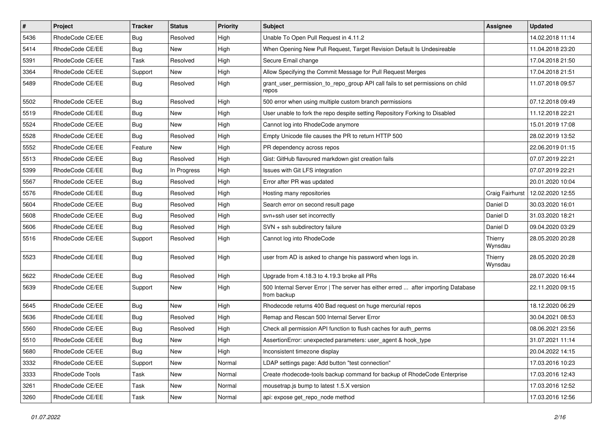| $\vert$ # | Project         | Tracker    | <b>Status</b> | Priority | <b>Subject</b>                                                                                   | <b>Assignee</b>    | <b>Updated</b>   |
|-----------|-----------------|------------|---------------|----------|--------------------------------------------------------------------------------------------------|--------------------|------------------|
| 5436      | RhodeCode CE/EE | Bug        | Resolved      | High     | Unable To Open Pull Request in 4.11.2                                                            |                    | 14.02.2018 11:14 |
| 5414      | RhodeCode CE/EE | Bug        | <b>New</b>    | High     | When Opening New Pull Request, Target Revision Default Is Undesireable                           |                    | 11.04.2018 23:20 |
| 5391      | RhodeCode CE/EE | Task       | Resolved      | High     | Secure Email change                                                                              |                    | 17.04.2018 21:50 |
| 3364      | RhodeCode CE/EE | Support    | New           | High     | Allow Specifying the Commit Message for Pull Request Merges                                      |                    | 17.04.2018 21:51 |
| 5489      | RhodeCode CE/EE | Bug        | Resolved      | High     | grant_user_permission_to_repo_group API call fails to set permissions on child<br>repos          |                    | 11.07.2018 09:57 |
| 5502      | RhodeCode CE/EE | Bug        | Resolved      | High     | 500 error when using multiple custom branch permissions                                          |                    | 07.12.2018 09:49 |
| 5519      | RhodeCode CE/EE | <b>Bug</b> | <b>New</b>    | High     | User unable to fork the repo despite setting Repository Forking to Disabled                      |                    | 11.12.2018 22:21 |
| 5524      | RhodeCode CE/EE | Bug        | New           | High     | Cannot log into RhodeCode anymore                                                                |                    | 15.01.2019 17:08 |
| 5528      | RhodeCode CE/EE | Bug        | Resolved      | High     | Empty Unicode file causes the PR to return HTTP 500                                              |                    | 28.02.2019 13:52 |
| 5552      | RhodeCode CE/EE | Feature    | New           | High     | PR dependency across repos                                                                       |                    | 22.06.2019 01:15 |
| 5513      | RhodeCode CE/EE | <b>Bug</b> | Resolved      | High     | Gist: GitHub flavoured markdown gist creation fails                                              |                    | 07.07.2019 22:21 |
| 5399      | RhodeCode CE/EE | <b>Bug</b> | In Progress   | High     | Issues with Git LFS integration                                                                  |                    | 07.07.2019 22:21 |
| 5567      | RhodeCode CE/EE | Bug        | Resolved      | High     | Error after PR was updated                                                                       |                    | 20.01.2020 10:04 |
| 5576      | RhodeCode CE/EE | Bug        | Resolved      | High     | Hosting many repositories                                                                        | Craig Fairhurst    | 12.02.2020 12:55 |
| 5604      | RhodeCode CE/EE | <b>Bug</b> | Resolved      | High     | Search error on second result page                                                               | Daniel D           | 30.03.2020 16:01 |
| 5608      | RhodeCode CE/EE | <b>Bug</b> | Resolved      | High     | svn+ssh user set incorrectly                                                                     | Daniel D           | 31.03.2020 18:21 |
| 5606      | RhodeCode CE/EE | <b>Bug</b> | Resolved      | High     | SVN + ssh subdirectory failure                                                                   | Daniel D           | 09.04.2020 03:29 |
| 5516      | RhodeCode CE/EE | Support    | Resolved      | High     | Cannot log into RhodeCode                                                                        | Thierry<br>Wynsdau | 28.05.2020 20:28 |
| 5523      | RhodeCode CE/EE | Bug        | Resolved      | High     | user from AD is asked to change his password when logs in.                                       | Thierry<br>Wynsdau | 28.05.2020 20:28 |
| 5622      | RhodeCode CE/EE | <b>Bug</b> | Resolved      | High     | Upgrade from 4.18.3 to 4.19.3 broke all PRs                                                      |                    | 28.07.2020 16:44 |
| 5639      | RhodeCode CE/EE | Support    | New           | High     | 500 Internal Server Error   The server has either erred  after importing Database<br>from backup |                    | 22.11.2020 09:15 |
| 5645      | RhodeCode CE/EE | Bug        | <b>New</b>    | High     | Rhodecode returns 400 Bad request on huge mercurial repos                                        |                    | 18.12.2020 06:29 |
| 5636      | RhodeCode CE/EE | <b>Bug</b> | Resolved      | High     | Remap and Rescan 500 Internal Server Error                                                       |                    | 30.04.2021 08:53 |
| 5560      | RhodeCode CE/EE | <b>Bug</b> | Resolved      | High     | Check all permission API function to flush caches for auth perms                                 |                    | 08.06.2021 23:56 |
| 5510      | RhodeCode CE/EE | Bug        | <b>New</b>    | High     | AssertionError: unexpected parameters: user_agent & hook_type                                    |                    | 31.07.2021 11:14 |
| 5680      | RhodeCode CE/EE | Bug        | New           | High     | Inconsistent timezone display                                                                    |                    | 20.04.2022 14:15 |
| 3332      | RhodeCode CE/EE | Support    | New           | Normal   | LDAP settings page: Add button "test connection"                                                 |                    | 17.03.2016 10:23 |
| 3333      | RhodeCode Tools | Task       | New           | Normal   | Create rhodecode-tools backup command for backup of RhodeCode Enterprise                         |                    | 17.03.2016 12:43 |
| 3261      | RhodeCode CE/EE | Task       | New           | Normal   | mousetrap.js bump to latest 1.5.X version                                                        |                    | 17.03.2016 12:52 |
| 3260      | RhodeCode CE/EE | Task       | New           | Normal   | api: expose get_repo_node method                                                                 |                    | 17.03.2016 12:56 |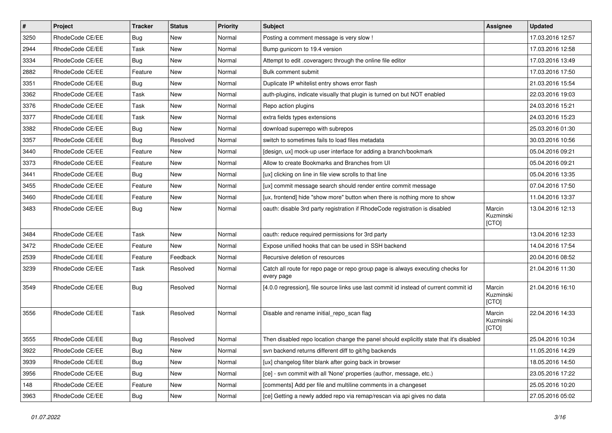| $\pmb{\#}$ | Project         | <b>Tracker</b> | <b>Status</b> | <b>Priority</b> | Subject                                                                                       | <b>Assignee</b>              | <b>Updated</b>   |
|------------|-----------------|----------------|---------------|-----------------|-----------------------------------------------------------------------------------------------|------------------------------|------------------|
| 3250       | RhodeCode CE/EE | Bug            | New           | Normal          | Posting a comment message is very slow !                                                      |                              | 17.03.2016 12:57 |
| 2944       | RhodeCode CE/EE | Task           | <b>New</b>    | Normal          | Bump gunicorn to 19.4 version                                                                 |                              | 17.03.2016 12:58 |
| 3334       | RhodeCode CE/EE | <b>Bug</b>     | New           | Normal          | Attempt to edit .coveragerc through the online file editor                                    |                              | 17.03.2016 13:49 |
| 2882       | RhodeCode CE/EE | Feature        | New           | Normal          | Bulk comment submit                                                                           |                              | 17.03.2016 17:50 |
| 3351       | RhodeCode CE/EE | Bug            | <b>New</b>    | Normal          | Duplicate IP whitelist entry shows error flash                                                |                              | 21.03.2016 15:54 |
| 3362       | RhodeCode CE/EE | Task           | New           | Normal          | auth-plugins, indicate visually that plugin is turned on but NOT enabled                      |                              | 22.03.2016 19:03 |
| 3376       | RhodeCode CE/EE | Task           | New           | Normal          | Repo action plugins                                                                           |                              | 24.03.2016 15:21 |
| 3377       | RhodeCode CE/EE | Task           | <b>New</b>    | Normal          | extra fields types extensions                                                                 |                              | 24.03.2016 15:23 |
| 3382       | RhodeCode CE/EE | Bug            | <b>New</b>    | Normal          | download superrepo with subrepos                                                              |                              | 25.03.2016 01:30 |
| 3357       | RhodeCode CE/EE | <b>Bug</b>     | Resolved      | Normal          | switch to sometimes fails to load files metadata                                              |                              | 30.03.2016 10:56 |
| 3440       | RhodeCode CE/EE | Feature        | <b>New</b>    | Normal          | [design, ux] mock-up user interface for adding a branch/bookmark                              |                              | 05.04.2016 09:21 |
| 3373       | RhodeCode CE/EE | Feature        | <b>New</b>    | Normal          | Allow to create Bookmarks and Branches from UI                                                |                              | 05.04.2016 09:21 |
| 3441       | RhodeCode CE/EE | Bug            | <b>New</b>    | Normal          | [ux] clicking on line in file view scrolls to that line                                       |                              | 05.04.2016 13:35 |
| 3455       | RhodeCode CE/EE | Feature        | New           | Normal          | [ux] commit message search should render entire commit message                                |                              | 07.04.2016 17:50 |
| 3460       | RhodeCode CE/EE | Feature        | <b>New</b>    | Normal          | [ux, frontend] hide "show more" button when there is nothing more to show                     |                              | 11.04.2016 13:37 |
| 3483       | RhodeCode CE/EE | <b>Bug</b>     | New           | Normal          | oauth: disable 3rd party registration if RhodeCode registration is disabled                   | Marcin<br>Kuzminski<br>[CTO] | 13.04.2016 12:13 |
| 3484       | RhodeCode CE/EE | Task           | <b>New</b>    | Normal          | oauth: reduce required permissions for 3rd party                                              |                              | 13.04.2016 12:33 |
| 3472       | RhodeCode CE/EE | Feature        | <b>New</b>    | Normal          | Expose unified hooks that can be used in SSH backend                                          |                              | 14.04.2016 17:54 |
| 2539       | RhodeCode CE/EE | Feature        | Feedback      | Normal          | Recursive deletion of resources                                                               |                              | 20.04.2016 08:52 |
| 3239       | RhodeCode CE/EE | Task           | Resolved      | Normal          | Catch all route for repo page or repo group page is always executing checks for<br>every page |                              | 21.04.2016 11:30 |
| 3549       | RhodeCode CE/EE | Bug            | Resolved      | Normal          | [4.0.0 regression], file source links use last commit id instead of current commit id         | Marcin<br>Kuzminski<br>[CTO] | 21.04.2016 16:10 |
| 3556       | RhodeCode CE/EE | Task           | Resolved      | Normal          | Disable and rename initial_repo_scan flag                                                     | Marcin<br>Kuzminski<br>[CTO] | 22.04.2016 14:33 |
| 3555       | RhodeCode CE/EE | Bug            | Resolved      | Normal          | Then disabled repo location change the panel should explicitly state that it's disabled       |                              | 25.04.2016 10:34 |
| 3922       | RhodeCode CE/EE | <b>Bug</b>     | New           | Normal          | svn backend returns different diff to git/hg backends                                         |                              | 11.05.2016 14:29 |
| 3939       | RhodeCode CE/EE | <b>Bug</b>     | New           | Normal          | [ux] changelog filter blank after going back in browser                                       |                              | 18.05.2016 14:50 |
| 3956       | RhodeCode CE/EE | <b>Bug</b>     | New           | Normal          | [ce] - svn commit with all 'None' properties (author, message, etc.)                          |                              | 23.05.2016 17:22 |
| 148        | RhodeCode CE/EE | Feature        | New           | Normal          | [comments] Add per file and multiline comments in a changeset                                 |                              | 25.05.2016 10:20 |
| 3963       | RhodeCode CE/EE | Bug            | New           | Normal          | [ce] Getting a newly added repo via remap/rescan via api gives no data                        |                              | 27.05.2016 05:02 |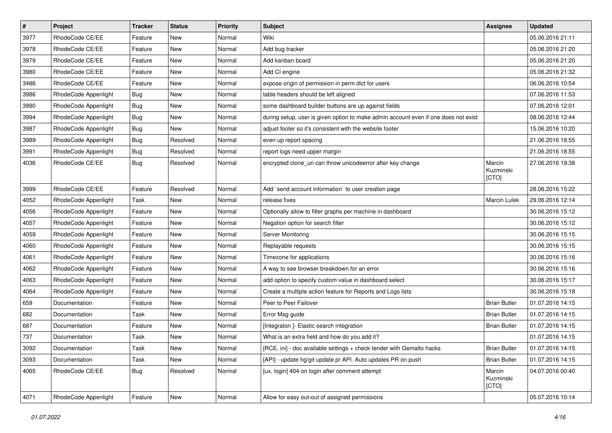| $\pmb{\#}$ | Project              | <b>Tracker</b> | <b>Status</b> | <b>Priority</b> | <b>Subject</b>                                                                      | <b>Assignee</b>              | <b>Updated</b>   |
|------------|----------------------|----------------|---------------|-----------------|-------------------------------------------------------------------------------------|------------------------------|------------------|
| 3977       | RhodeCode CE/EE      | Feature        | New           | Normal          | Wiki                                                                                |                              | 05.06.2016 21:11 |
| 3978       | RhodeCode CE/EE      | Feature        | New           | Normal          | Add bug tracker                                                                     |                              | 05.06.2016 21:20 |
| 3979       | RhodeCode CE/EE      | Feature        | New           | Normal          | Add kanban board                                                                    |                              | 05.06.2016 21:20 |
| 3980       | RhodeCode CE/EE      | Feature        | New           | Normal          | Add CI engine                                                                       |                              | 05.06.2016 21:32 |
| 3486       | RhodeCode CE/EE      | Feature        | <b>New</b>    | Normal          | expose origin of permission in perm dict for users                                  |                              | 06.06.2016 10:54 |
| 3986       | RhodeCode Appenlight | Bug            | New           | Normal          | table headers should be left aligned                                                |                              | 07.06.2016 11:53 |
| 3990       | RhodeCode Appenlight | <b>Bug</b>     | <b>New</b>    | Normal          | some dashboard builder buttons are up against fields                                |                              | 07.06.2016 12:01 |
| 3994       | RhodeCode Appenlight | Bug            | New           | Normal          | during setup, user is given option to make admin account even if one does not exist |                              | 08.06.2016 12:44 |
| 3987       | RhodeCode Appenlight | Bug            | New           | Normal          | adjust footer so it's consistent with the website footer                            |                              | 15.06.2016 10:20 |
| 3989       | RhodeCode Appenlight | <b>Bug</b>     | Resolved      | Normal          | even up report spacing                                                              |                              | 21.06.2016 18:55 |
| 3991       | RhodeCode Appenlight | Bug            | Resolved      | Normal          | report logs need upper margin                                                       |                              | 21.06.2016 18:55 |
| 4036       | RhodeCode CE/EE      | Bug            | Resolved      | Normal          | encrypted clone_uri can throw unicodeerror after key change                         | Marcin<br>Kuzminski<br>[CTO] | 27.06.2016 19:38 |
| 3999       | RhodeCode CE/EE      | Feature        | Resolved      | Normal          | Add `send account information` to user creation page                                |                              | 28.06.2016 15:22 |
| 4052       | RhodeCode Appenlight | Task           | New           | Normal          | release fixes                                                                       | <b>Marcin Lulek</b>          | 29.06.2016 12:14 |
| 4056       | RhodeCode Appenlight | Feature        | New           | Normal          | Optionally allow to filter graphs per machine in dashboard                          |                              | 30.06.2016 15:12 |
| 4057       | RhodeCode Appenlight | Feature        | <b>New</b>    | Normal          | Negation option for search filter                                                   |                              | 30.06.2016 15:12 |
| 4059       | RhodeCode Appenlight | Feature        | New           | Normal          | Server Monitoring                                                                   |                              | 30.06.2016 15:15 |
| 4060       | RhodeCode Appenlight | Feature        | New           | Normal          | Replayable requests                                                                 |                              | 30.06.2016 15:15 |
| 4061       | RhodeCode Appenlight | Feature        | <b>New</b>    | Normal          | Timezone for applications                                                           |                              | 30.06.2016 15:16 |
| 4062       | RhodeCode Appenlight | Feature        | New           | Normal          | A way to see browser breakdown for an error                                         |                              | 30.06.2016 15:16 |
| 4063       | RhodeCode Appenlight | Feature        | <b>New</b>    | Normal          | add option to specify custom value in dashboard select                              |                              | 30.06.2016 15:17 |
| 4064       | RhodeCode Appenlight | Feature        | New           | Normal          | Create a multiple action feature for Reports and Logs lists                         |                              | 30.06.2016 15:18 |
| 659        | Documentation        | Feature        | New           | Normal          | Peer to Peer Failover                                                               | <b>Brian Butler</b>          | 01.07.2016 14:15 |
| 682        | Documentation        | Task           | <b>New</b>    | Normal          | Error Msg guide                                                                     | <b>Brian Butler</b>          | 01.07.2016 14:15 |
| 687        | Documentation        | Feature        | New           | Normal          | [Integraton ]- Elastic search integration                                           | <b>Brian Butler</b>          | 01.07.2016 14:15 |
| 737        | Documentation        | Task           | <b>New</b>    | Normal          | What is an extra field and how do you add it?                                       |                              | 01.07.2016 14:15 |
| 3092       | Documentation        | Task           | New           | Normal          | [RCE, ini] - doc available settings + check tender with Gemalto hacks               | <b>Brian Butler</b>          | 01.07.2016 14:15 |
| 3093       | Documentation        | Task           | New           | Normal          | [API] - update hg/git update pr API. Auto updates PR on push                        | <b>Brian Butler</b>          | 01.07.2016 14:15 |
| 4065       | RhodeCode CE/EE      | <b>Bug</b>     | Resolved      | Normal          | [ux, login] 404 on login after comment attempt                                      | Marcin<br>Kuzminski<br>[CTO] | 04.07.2016 00:40 |
| 4071       | RhodeCode Appenlight | Feature        | New           | Normal          | Allow for easy out-out of assigned permissions                                      |                              | 05.07.2016 10:14 |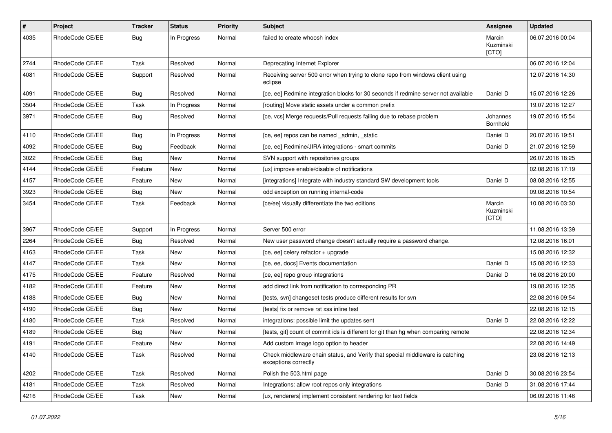| $\pmb{\#}$ | Project         | <b>Tracker</b> | <b>Status</b> | <b>Priority</b> | <b>Subject</b>                                                                                        | Assignee                     | <b>Updated</b>   |
|------------|-----------------|----------------|---------------|-----------------|-------------------------------------------------------------------------------------------------------|------------------------------|------------------|
| 4035       | RhodeCode CE/EE | Bug            | In Progress   | Normal          | failed to create whoosh index                                                                         | Marcin<br>Kuzminski<br>[CTO] | 06.07.2016 00:04 |
| 2744       | RhodeCode CE/EE | Task           | Resolved      | Normal          | Deprecating Internet Explorer                                                                         |                              | 06.07.2016 12:04 |
| 4081       | RhodeCode CE/EE | Support        | Resolved      | Normal          | Receiving server 500 error when trying to clone repo from windows client using<br>eclipse             |                              | 12.07.2016 14:30 |
| 4091       | RhodeCode CE/EE | <b>Bug</b>     | Resolved      | Normal          | [ce, ee] Redmine integration blocks for 30 seconds if redmine server not available                    | Daniel D                     | 15.07.2016 12:26 |
| 3504       | RhodeCode CE/EE | Task           | In Progress   | Normal          | [routing] Move static assets under a common prefix                                                    |                              | 19.07.2016 12:27 |
| 3971       | RhodeCode CE/EE | <b>Bug</b>     | Resolved      | Normal          | [ce, vcs] Merge requests/Pull requests failing due to rebase problem                                  | Johannes<br>Bornhold         | 19.07.2016 15:54 |
| 4110       | RhodeCode CE/EE | Bug            | In Progress   | Normal          | [ce, ee] repos can be named _admin, _static                                                           | Daniel D                     | 20.07.2016 19:51 |
| 4092       | RhodeCode CE/EE | Bug            | Feedback      | Normal          | [ce, ee] Redmine/JIRA integrations - smart commits                                                    | Daniel D                     | 21.07.2016 12:59 |
| 3022       | RhodeCode CE/EE | <b>Bug</b>     | New           | Normal          | SVN support with repositories groups                                                                  |                              | 26.07.2016 18:25 |
| 4144       | RhodeCode CE/EE | Feature        | <b>New</b>    | Normal          | [ux] improve enable/disable of notifications                                                          |                              | 02.08.2016 17:19 |
| 4157       | RhodeCode CE/EE | Feature        | <b>New</b>    | Normal          | [integrations] Integrate with industry standard SW development tools                                  | Daniel D                     | 08.08.2016 12:55 |
| 3923       | RhodeCode CE/EE | <b>Bug</b>     | New           | Normal          | odd exception on running internal-code                                                                |                              | 09.08.2016 10:54 |
| 3454       | RhodeCode CE/EE | Task           | Feedback      | Normal          | [ce/ee] visually differentiate the two editions                                                       | Marcin<br>Kuzminski<br>[CTO] | 10.08.2016 03:30 |
| 3967       | RhodeCode CE/EE | Support        | In Progress   | Normal          | Server 500 error                                                                                      |                              | 11.08.2016 13:39 |
| 2264       | RhodeCode CE/EE | <b>Bug</b>     | Resolved      | Normal          | New user password change doesn't actually require a password change.                                  |                              | 12.08.2016 16:01 |
| 4163       | RhodeCode CE/EE | Task           | <b>New</b>    | Normal          | [ce, ee] celery refactor + upgrade                                                                    |                              | 15.08.2016 12:32 |
| 4147       | RhodeCode CE/EE | Task           | <b>New</b>    | Normal          | [ce, ee, docs] Events documentation                                                                   | Daniel D                     | 15.08.2016 12:33 |
| 4175       | RhodeCode CE/EE | Feature        | Resolved      | Normal          | [ce, ee] repo group integrations                                                                      | Daniel D                     | 16.08.2016 20:00 |
| 4182       | RhodeCode CE/EE | Feature        | New           | Normal          | add direct link from notification to corresponding PR                                                 |                              | 19.08.2016 12:35 |
| 4188       | RhodeCode CE/EE | <b>Bug</b>     | <b>New</b>    | Normal          | [tests, svn] changeset tests produce different results for svn                                        |                              | 22.08.2016 09:54 |
| 4190       | RhodeCode CE/EE | <b>Bug</b>     | <b>New</b>    | Normal          | [tests] fix or remove rst xss inline test                                                             |                              | 22.08.2016 12:15 |
| 4180       | RhodeCode CE/EE | Task           | Resolved      | Normal          | integrations: possible limit the updates sent                                                         | Daniel D                     | 22.08.2016 12:22 |
| 4189       | RhodeCode CE/EE | <b>Bug</b>     | New           | Normal          | [tests, git] count of commit ids is different for git than hg when comparing remote                   |                              | 22.08.2016 12:34 |
| 4191       | RhodeCode CE/EE | Feature        | New           | Normal          | Add custom Image logo option to header                                                                |                              | 22.08.2016 14:49 |
| 4140       | RhodeCode CE/EE | Task           | Resolved      | Normal          | Check middleware chain status, and Verify that special middleware is catching<br>exceptions correctly |                              | 23.08.2016 12:13 |
| 4202       | RhodeCode CE/EE | Task           | Resolved      | Normal          | Polish the 503.html page                                                                              | Daniel D                     | 30.08.2016 23:54 |
| 4181       | RhodeCode CE/EE | Task           | Resolved      | Normal          | Integrations: allow root repos only integrations                                                      | Daniel D                     | 31.08.2016 17:44 |
| 4216       | RhodeCode CE/EE | Task           | New           | Normal          | [ux, renderers] implement consistent rendering for text fields                                        |                              | 06.09.2016 11:46 |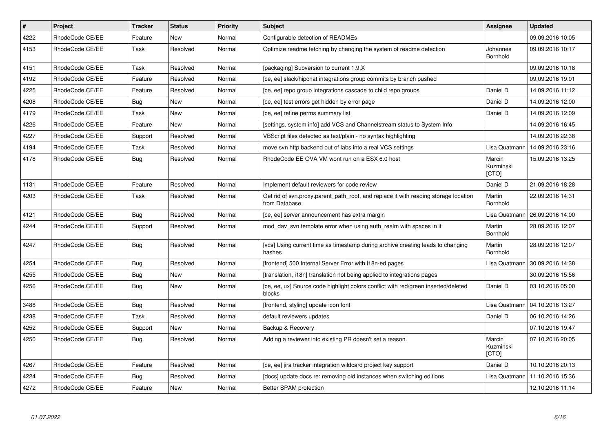| $\vert$ # | <b>Project</b>  | <b>Tracker</b> | <b>Status</b> | Priority | <b>Subject</b>                                                                                       | Assignee                     | <b>Updated</b>   |
|-----------|-----------------|----------------|---------------|----------|------------------------------------------------------------------------------------------------------|------------------------------|------------------|
| 4222      | RhodeCode CE/EE | Feature        | <b>New</b>    | Normal   | Configurable detection of READMEs                                                                    |                              | 09.09.2016 10:05 |
| 4153      | RhodeCode CE/EE | Task           | Resolved      | Normal   | Optimize readme fetching by changing the system of readme detection                                  | Johannes<br>Bornhold         | 09.09.2016 10:17 |
| 4151      | RhodeCode CE/EE | Task           | Resolved      | Normal   | [packaging] Subversion to current 1.9.X                                                              |                              | 09.09.2016 10:18 |
| 4192      | RhodeCode CE/EE | Feature        | Resolved      | Normal   | [ce, ee] slack/hipchat integrations group commits by branch pushed                                   |                              | 09.09.2016 19:01 |
| 4225      | RhodeCode CE/EE | Feature        | Resolved      | Normal   | [ce, ee] repo group integrations cascade to child repo groups                                        | Daniel D                     | 14.09.2016 11:12 |
| 4208      | RhodeCode CE/EE | Bug            | <b>New</b>    | Normal   | [ce, ee] test errors get hidden by error page                                                        | Daniel D                     | 14.09.2016 12:00 |
| 4179      | RhodeCode CE/EE | Task           | <b>New</b>    | Normal   | [ce, ee] refine perms summary list                                                                   | Daniel D                     | 14.09.2016 12:09 |
| 4226      | RhodeCode CE/EE | Feature        | <b>New</b>    | Normal   | [settings, system info] add VCS and Channelstream status to System Info                              |                              | 14.09.2016 16:45 |
| 4227      | RhodeCode CE/EE | Support        | Resolved      | Normal   | VBScript files detected as text/plain - no syntax highlighting                                       |                              | 14.09.2016 22:38 |
| 4194      | RhodeCode CE/EE | Task           | Resolved      | Normal   | move svn http backend out of labs into a real VCS settings                                           | Lisa Quatmann                | 14.09.2016 23:16 |
| 4178      | RhodeCode CE/EE | <b>Bug</b>     | Resolved      | Normal   | RhodeCode EE OVA VM wont run on a ESX 6.0 host                                                       | Marcin<br>Kuzminski<br>[CTO] | 15.09.2016 13:25 |
| 1131      | RhodeCode CE/EE | Feature        | Resolved      | Normal   | Implement default reviewers for code review                                                          | Daniel D                     | 21.09.2016 18:28 |
| 4203      | RhodeCode CE/EE | Task           | Resolved      | Normal   | Get rid of svn.proxy.parent_path_root, and replace it with reading storage location<br>from Database | Martin<br>Bornhold           | 22.09.2016 14:31 |
| 4121      | RhodeCode CE/EE | Bug            | Resolved      | Normal   | [ce, ee] server announcement has extra margin                                                        | Lisa Quatmann                | 26.09.2016 14:00 |
| 4244      | RhodeCode CE/EE | Support        | Resolved      | Normal   | mod day syn template error when using auth realm with spaces in it                                   | Martin<br>Bornhold           | 28.09.2016 12:07 |
| 4247      | RhodeCode CE/EE | Bug            | Resolved      | Normal   | [vcs] Using current time as timestamp during archive creating leads to changing<br>hashes            | Martin<br>Bornhold           | 28.09.2016 12:07 |
| 4254      | RhodeCode CE/EE | Bug            | Resolved      | Normal   | [frontend] 500 Internal Server Error with i18n-ed pages                                              | Lisa Quatmann                | 30.09.2016 14:38 |
| 4255      | RhodeCode CE/EE | Bug            | <b>New</b>    | Normal   | [translation, i18n] translation not being applied to integrations pages                              |                              | 30.09.2016 15:56 |
| 4256      | RhodeCode CE/EE | Bug            | <b>New</b>    | Normal   | [ce, ee, ux] Source code highlight colors conflict with red/green inserted/deleted<br>blocks         | Daniel D                     | 03.10.2016 05:00 |
| 3488      | RhodeCode CE/EE | <b>Bug</b>     | Resolved      | Normal   | [frontend, styling] update icon font                                                                 | Lisa Quatmann                | 04.10.2016 13:27 |
| 4238      | RhodeCode CE/EE | Task           | Resolved      | Normal   | default reviewers updates                                                                            | Daniel D                     | 06.10.2016 14:26 |
| 4252      | RhodeCode CE/EE | Support        | <b>New</b>    | Normal   | Backup & Recovery                                                                                    |                              | 07.10.2016 19:47 |
| 4250      | RhodeCode CE/EE | Bug            | Resolved      | Normal   | Adding a reviewer into existing PR doesn't set a reason.                                             | Marcin<br>Kuzminski<br>[CTO] | 07.10.2016 20:05 |
| 4267      | RhodeCode CE/EE | Feature        | Resolved      | Normal   | [ce, ee] jira tracker integration wildcard project key support                                       | Daniel D                     | 10.10.2016 20:13 |
| 4224      | RhodeCode CE/EE | Bug            | Resolved      | Normal   | [docs] update docs re: removing old instances when switching editions                                | Lisa Quatmann                | 11.10.2016 15:36 |
| 4272      | RhodeCode CE/EE | Feature        | <b>New</b>    | Normal   | Better SPAM protection                                                                               |                              | 12.10.2016 11:14 |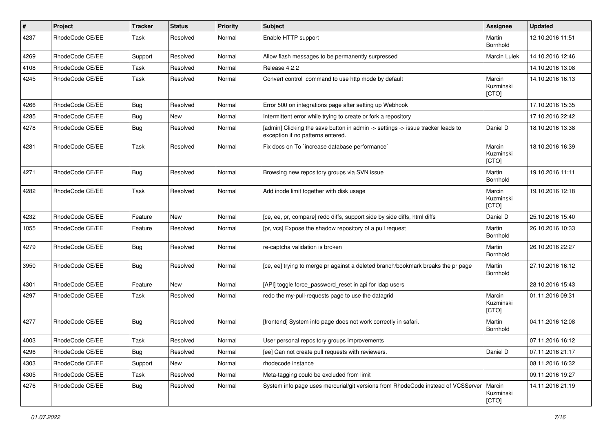| $\sharp$ | Project         | <b>Tracker</b> | <b>Status</b> | <b>Priority</b> | <b>Subject</b>                                                                                                       | <b>Assignee</b>              | <b>Updated</b>   |
|----------|-----------------|----------------|---------------|-----------------|----------------------------------------------------------------------------------------------------------------------|------------------------------|------------------|
| 4237     | RhodeCode CE/EE | Task           | Resolved      | Normal          | Enable HTTP support                                                                                                  | Martin<br>Bornhold           | 12.10.2016 11:51 |
| 4269     | RhodeCode CE/EE | Support        | Resolved      | Normal          | Allow flash messages to be permanently surpressed                                                                    | Marcin Lulek                 | 14.10.2016 12:46 |
| 4108     | RhodeCode CE/EE | Task           | Resolved      | Normal          | Release 4.2.2                                                                                                        |                              | 14.10.2016 13:08 |
| 4245     | RhodeCode CE/EE | Task           | Resolved      | Normal          | Convert control command to use http mode by default                                                                  | Marcin<br>Kuzminski<br>[CTO] | 14.10.2016 16:13 |
| 4266     | RhodeCode CE/EE | Bug            | Resolved      | Normal          | Error 500 on integrations page after setting up Webhook                                                              |                              | 17.10.2016 15:35 |
| 4285     | RhodeCode CE/EE | Bug            | <b>New</b>    | Normal          | Intermittent error while trying to create or fork a repository                                                       |                              | 17.10.2016 22:42 |
| 4278     | RhodeCode CE/EE | <b>Bug</b>     | Resolved      | Normal          | [admin] Clicking the save button in admin -> settings -> issue tracker leads to<br>exception if no patterns entered. | Daniel D                     | 18.10.2016 13:38 |
| 4281     | RhodeCode CE/EE | Task           | Resolved      | Normal          | Fix docs on To `increase database performance`                                                                       | Marcin<br>Kuzminski<br>[CTO] | 18.10.2016 16:39 |
| 4271     | RhodeCode CE/EE | Bug            | Resolved      | Normal          | Browsing new repository groups via SVN issue                                                                         | Martin<br>Bornhold           | 19.10.2016 11:11 |
| 4282     | RhodeCode CE/EE | Task           | Resolved      | Normal          | Add inode limit together with disk usage                                                                             | Marcin<br>Kuzminski<br>[CTO] | 19.10.2016 12:18 |
| 4232     | RhodeCode CE/EE | Feature        | New           | Normal          | [ce, ee, pr, compare] redo diffs, support side by side diffs, html diffs                                             | Daniel D                     | 25.10.2016 15:40 |
| 1055     | RhodeCode CE/EE | Feature        | Resolved      | Normal          | [pr, vcs] Expose the shadow repository of a pull request                                                             | Martin<br>Bornhold           | 26.10.2016 10:33 |
| 4279     | RhodeCode CE/EE | Bug            | Resolved      | Normal          | re-captcha validation is broken                                                                                      | Martin<br>Bornhold           | 26.10.2016 22:27 |
| 3950     | RhodeCode CE/EE | Bug            | Resolved      | Normal          | [ce, ee] trying to merge pr against a deleted branch/bookmark breaks the pr page                                     | Martin<br>Bornhold           | 27.10.2016 16:12 |
| 4301     | RhodeCode CE/EE | Feature        | <b>New</b>    | Normal          | [API] toggle force_password_reset in api for Idap users                                                              |                              | 28.10.2016 15:43 |
| 4297     | RhodeCode CE/EE | Task           | Resolved      | Normal          | redo the my-pull-requests page to use the datagrid                                                                   | Marcin<br>Kuzminski<br>[CTO] | 01.11.2016 09:31 |
| 4277     | RhodeCode CE/EE | Bug            | Resolved      | Normal          | [frontend] System info page does not work correctly in safari.                                                       | Martin<br>Bornhold           | 04.11.2016 12:08 |
| 4003     | RhodeCode CE/EE | Task           | Resolved      | Normal          | User personal repository groups improvements                                                                         |                              | 07.11.2016 16:12 |
| 4296     | RhodeCode CE/EE | <b>Bug</b>     | Resolved      | Normal          | [ee] Can not create pull requests with reviewers.                                                                    | Daniel D                     | 07.11.2016 21:17 |
| 4303     | RhodeCode CE/EE | Support        | New           | Normal          | rhodecode instance                                                                                                   |                              | 08.11.2016 16:32 |
| 4305     | RhodeCode CE/EE | Task           | Resolved      | Normal          | Meta-tagging could be excluded from limit                                                                            |                              | 09.11.2016 19:27 |
| 4276     | RhodeCode CE/EE | Bug            | Resolved      | Normal          | System info page uses mercurial/git versions from RhodeCode instead of VCSServer   Marcin                            | Kuzminski<br>[CTO]           | 14.11.2016 21:19 |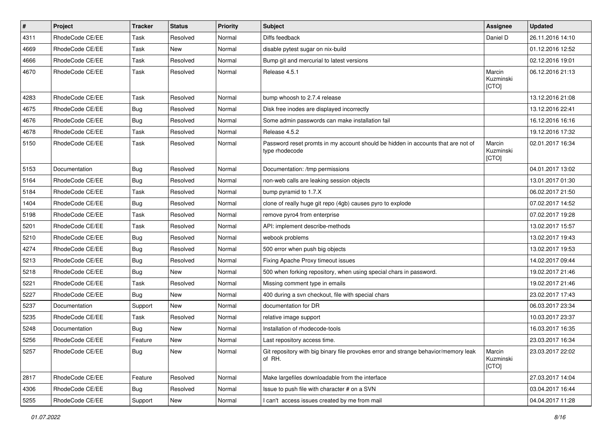| $\vert$ # | Project         | <b>Tracker</b> | <b>Status</b> | <b>Priority</b> | <b>Subject</b>                                                                                     | Assignee                     | <b>Updated</b>   |
|-----------|-----------------|----------------|---------------|-----------------|----------------------------------------------------------------------------------------------------|------------------------------|------------------|
| 4311      | RhodeCode CE/EE | Task           | Resolved      | Normal          | Diffs feedback                                                                                     | Daniel D                     | 26.11.2016 14:10 |
| 4669      | RhodeCode CE/EE | Task           | <b>New</b>    | Normal          | disable pytest sugar on nix-build                                                                  |                              | 01.12.2016 12:52 |
| 4666      | RhodeCode CE/EE | Task           | Resolved      | Normal          | Bump git and mercurial to latest versions                                                          |                              | 02.12.2016 19:01 |
| 4670      | RhodeCode CE/EE | Task           | Resolved      | Normal          | Release 4.5.1                                                                                      | Marcin<br>Kuzminski<br>[CTO] | 06.12.2016 21:13 |
| 4283      | RhodeCode CE/EE | Task           | Resolved      | Normal          | bump whoosh to 2.7.4 release                                                                       |                              | 13.12.2016 21:08 |
| 4675      | RhodeCode CE/EE | Bug            | Resolved      | Normal          | Disk free inodes are displayed incorrectly                                                         |                              | 13.12.2016 22:41 |
| 4676      | RhodeCode CE/EE | Bug            | Resolved      | Normal          | Some admin passwords can make installation fail                                                    |                              | 16.12.2016 16:16 |
| 4678      | RhodeCode CE/EE | Task           | Resolved      | Normal          | Release 4.5.2                                                                                      |                              | 19.12.2016 17:32 |
| 5150      | RhodeCode CE/EE | Task           | Resolved      | Normal          | Password reset promts in my account should be hidden in accounts that are not of<br>type rhodecode | Marcin<br>Kuzminski<br>[CTO] | 02.01.2017 16:34 |
| 5153      | Documentation   | Bug            | Resolved      | Normal          | Documentation: /tmp permissions                                                                    |                              | 04.01.2017 13:02 |
| 5164      | RhodeCode CE/EE | Bug            | Resolved      | Normal          | non-web calls are leaking session objects                                                          |                              | 13.01.2017 01:30 |
| 5184      | RhodeCode CE/EE | Task           | Resolved      | Normal          | bump pyramid to 1.7.X                                                                              |                              | 06.02.2017 21:50 |
| 1404      | RhodeCode CE/EE | Bug            | Resolved      | Normal          | clone of really huge git repo (4gb) causes pyro to explode                                         |                              | 07.02.2017 14:52 |
| 5198      | RhodeCode CE/EE | Task           | Resolved      | Normal          | remove pyro4 from enterprise                                                                       |                              | 07.02.2017 19:28 |
| 5201      | RhodeCode CE/EE | Task           | Resolved      | Normal          | API: implement describe-methods                                                                    |                              | 13.02.2017 15:57 |
| 5210      | RhodeCode CE/EE | Bug            | Resolved      | Normal          | webook problems                                                                                    |                              | 13.02.2017 19:43 |
| 4274      | RhodeCode CE/EE | Bug            | Resolved      | Normal          | 500 error when push big objects                                                                    |                              | 13.02.2017 19:53 |
| 5213      | RhodeCode CE/EE | Bug            | Resolved      | Normal          | Fixing Apache Proxy timeout issues                                                                 |                              | 14.02.2017 09:44 |
| 5218      | RhodeCode CE/EE | Bug            | <b>New</b>    | Normal          | 500 when forking repository, when using special chars in password.                                 |                              | 19.02.2017 21:46 |
| 5221      | RhodeCode CE/EE | Task           | Resolved      | Normal          | Missing comment type in emails                                                                     |                              | 19.02.2017 21:46 |
| 5227      | RhodeCode CE/EE | Bug            | <b>New</b>    | Normal          | 400 during a svn checkout, file with special chars                                                 |                              | 23.02.2017 17:43 |
| 5237      | Documentation   | Support        | <b>New</b>    | Normal          | documentation for DR                                                                               |                              | 06.03.2017 23:34 |
| 5235      | RhodeCode CE/EE | Task           | Resolved      | Normal          | relative image support                                                                             |                              | 10.03.2017 23:37 |
| 5248      | Documentation   | Bug            | <b>New</b>    | Normal          | Installation of rhodecode-tools                                                                    |                              | 16.03.2017 16:35 |
| 5256      | RhodeCode CE/EE | Feature        | <b>New</b>    | Normal          | Last repository access time.                                                                       |                              | 23.03.2017 16:34 |
| 5257      | RhodeCode CE/EE | <b>Bug</b>     | New           | Normal          | Git repository with big binary file provokes error and strange behavior/memory leak<br>of RH.      | Marcin<br>Kuzminski<br>[CTO] | 23.03.2017 22:02 |
| 2817      | RhodeCode CE/EE | Feature        | Resolved      | Normal          | Make largefiles downloadable from the interface                                                    |                              | 27.03.2017 14:04 |
| 4306      | RhodeCode CE/EE | Bug            | Resolved      | Normal          | Issue to push file with character # on a SVN                                                       |                              | 03.04.2017 16:44 |
| 5255      | RhodeCode CE/EE | Support        | New           | Normal          | I can't access issues created by me from mail                                                      |                              | 04.04.2017 11:28 |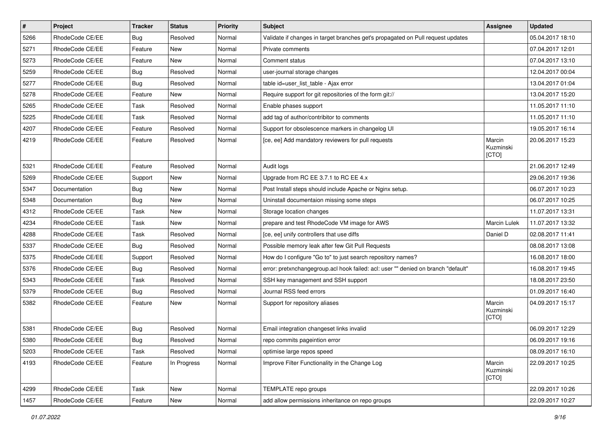| $\sharp$ | Project         | <b>Tracker</b> | <b>Status</b> | <b>Priority</b> | Subject                                                                           | Assignee                     | <b>Updated</b>   |
|----------|-----------------|----------------|---------------|-----------------|-----------------------------------------------------------------------------------|------------------------------|------------------|
| 5266     | RhodeCode CE/EE | Bug            | Resolved      | Normal          | Validate if changes in target branches get's propagated on Pull request updates   |                              | 05.04.2017 18:10 |
| 5271     | RhodeCode CE/EE | Feature        | <b>New</b>    | Normal          | Private comments                                                                  |                              | 07.04.2017 12:01 |
| 5273     | RhodeCode CE/EE | Feature        | New           | Normal          | Comment status                                                                    |                              | 07.04.2017 13:10 |
| 5259     | RhodeCode CE/EE | <b>Bug</b>     | Resolved      | Normal          | user-journal storage changes                                                      |                              | 12.04.2017 00:04 |
| 5277     | RhodeCode CE/EE | Bug            | Resolved      | Normal          | table id=user_list_table - Ajax error                                             |                              | 13.04.2017 01:04 |
| 5278     | RhodeCode CE/EE | Feature        | <b>New</b>    | Normal          | Require support for git repositories of the form git://                           |                              | 13.04.2017 15:20 |
| 5265     | RhodeCode CE/EE | Task           | Resolved      | Normal          | Enable phases support                                                             |                              | 11.05.2017 11:10 |
| 5225     | RhodeCode CE/EE | Task           | Resolved      | Normal          | add tag of author/contribitor to comments                                         |                              | 11.05.2017 11:10 |
| 4207     | RhodeCode CE/EE | Feature        | Resolved      | Normal          | Support for obsolescence markers in changelog UI                                  |                              | 19.05.2017 16:14 |
| 4219     | RhodeCode CE/EE | Feature        | Resolved      | Normal          | [ce, ee] Add mandatory reviewers for pull requests                                | Marcin<br>Kuzminski<br>[CTO] | 20.06.2017 15:23 |
| 5321     | RhodeCode CE/EE | Feature        | Resolved      | Normal          | Audit logs                                                                        |                              | 21.06.2017 12:49 |
| 5269     | RhodeCode CE/EE | Support        | New           | Normal          | Upgrade from RC EE 3.7.1 to RC EE 4.x                                             |                              | 29.06.2017 19:36 |
| 5347     | Documentation   | Bug            | New           | Normal          | Post Install steps should include Apache or Nginx setup.                          |                              | 06.07.2017 10:23 |
| 5348     | Documentation   | Bug            | <b>New</b>    | Normal          | Uninstall documentaion missing some steps                                         |                              | 06.07.2017 10:25 |
| 4312     | RhodeCode CE/EE | Task           | <b>New</b>    | Normal          | Storage location changes                                                          |                              | 11.07.2017 13:31 |
| 4234     | RhodeCode CE/EE | Task           | <b>New</b>    | Normal          | prepare and test RhodeCode VM image for AWS                                       | Marcin Lulek                 | 11.07.2017 13:32 |
| 4288     | RhodeCode CE/EE | Task           | Resolved      | Normal          | [ce, ee] unify controllers that use diffs                                         | Daniel D                     | 02.08.2017 11:41 |
| 5337     | RhodeCode CE/EE | Bug            | Resolved      | Normal          | Possible memory leak after few Git Pull Requests                                  |                              | 08.08.2017 13:08 |
| 5375     | RhodeCode CE/EE | Support        | Resolved      | Normal          | How do I configure "Go to" to just search repository names?                       |                              | 16.08.2017 18:00 |
| 5376     | RhodeCode CE/EE | Bug            | Resolved      | Normal          | error: pretxnchangegroup.acl hook failed: acl: user "" denied on branch "default" |                              | 16.08.2017 19:45 |
| 5343     | RhodeCode CE/EE | Task           | Resolved      | Normal          | SSH key management and SSH support                                                |                              | 18.08.2017 23:50 |
| 5379     | RhodeCode CE/EE | Bug            | Resolved      | Normal          | Journal RSS feed errors                                                           |                              | 01.09.2017 16:40 |
| 5382     | RhodeCode CE/EE | Feature        | New           | Normal          | Support for repository aliases                                                    | Marcin<br>Kuzminski<br>[CTO] | 04.09.2017 15:17 |
| 5381     | RhodeCode CE/EE | Bug            | Resolved      | Normal          | Email integration changeset links invalid                                         |                              | 06.09.2017 12:29 |
| 5380     | RhodeCode CE/EE | <b>Bug</b>     | Resolved      | Normal          | repo commits pageintion error                                                     |                              | 06.09.2017 19:16 |
| 5203     | RhodeCode CE/EE | Task           | Resolved      | Normal          | optimise large repos speed                                                        |                              | 08.09.2017 16:10 |
| 4193     | RhodeCode CE/EE | Feature        | In Progress   | Normal          | Improve Filter Functionality in the Change Log                                    | Marcin<br>Kuzminski<br>[CTO] | 22.09.2017 10:25 |
| 4299     | RhodeCode CE/EE | Task           | New           | Normal          | TEMPLATE repo groups                                                              |                              | 22.09.2017 10:26 |
| 1457     | RhodeCode CE/EE | Feature        | New           | Normal          | add allow permissions inheritance on repo groups                                  |                              | 22.09.2017 10:27 |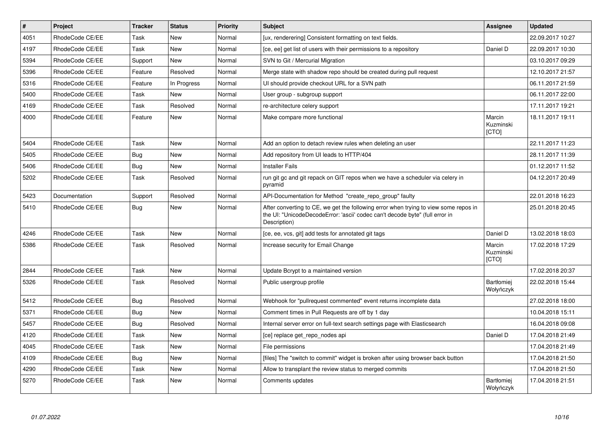| $\sharp$ | <b>Project</b>  | <b>Tracker</b> | <b>Status</b> | <b>Priority</b> | <b>Subject</b>                                                                                                                                                                       | <b>Assignee</b>                | <b>Updated</b>   |
|----------|-----------------|----------------|---------------|-----------------|--------------------------------------------------------------------------------------------------------------------------------------------------------------------------------------|--------------------------------|------------------|
| 4051     | RhodeCode CE/EE | Task           | New           | Normal          | [ux, renderering] Consistent formatting on text fields.                                                                                                                              |                                | 22.09.2017 10:27 |
| 4197     | RhodeCode CE/EE | Task           | New           | Normal          | [ce, ee] get list of users with their permissions to a repository                                                                                                                    | Daniel D                       | 22.09.2017 10:30 |
| 5394     | RhodeCode CE/EE | Support        | New           | Normal          | SVN to Git / Mercurial Migration                                                                                                                                                     |                                | 03.10.2017 09:29 |
| 5396     | RhodeCode CE/EE | Feature        | Resolved      | Normal          | Merge state with shadow repo should be created during pull request                                                                                                                   |                                | 12.10.2017 21:57 |
| 5316     | RhodeCode CE/EE | Feature        | In Progress   | Normal          | UI should provide checkout URL for a SVN path                                                                                                                                        |                                | 06.11.2017 21:59 |
| 5400     | RhodeCode CE/EE | Task           | New           | Normal          | User group - subgroup support                                                                                                                                                        |                                | 06.11.2017 22:00 |
| 4169     | RhodeCode CE/EE | Task           | Resolved      | Normal          | re-architecture celery support                                                                                                                                                       |                                | 17.11.2017 19:21 |
| 4000     | RhodeCode CE/EE | Feature        | New           | Normal          | Make compare more functional                                                                                                                                                         | Marcin<br>Kuzminski<br>[CTO]   | 18.11.2017 19:11 |
| 5404     | RhodeCode CE/EE | Task           | New           | Normal          | Add an option to detach review rules when deleting an user                                                                                                                           |                                | 22.11.2017 11:23 |
| 5405     | RhodeCode CE/EE | Bug            | New           | Normal          | Add repository from UI leads to HTTP/404                                                                                                                                             |                                | 28.11.2017 11:39 |
| 5406     | RhodeCode CE/EE | Bug            | <b>New</b>    | Normal          | <b>Installer Fails</b>                                                                                                                                                               |                                | 01.12.2017 11:52 |
| 5202     | RhodeCode CE/EE | Task           | Resolved      | Normal          | run git gc and git repack on GIT repos when we have a scheduler via celery in<br>pyramid                                                                                             |                                | 04.12.2017 20:49 |
| 5423     | Documentation   | Support        | Resolved      | Normal          | API-Documentation for Method "create repo group" faulty                                                                                                                              |                                | 22.01.2018 16:23 |
| 5410     | RhodeCode CE/EE | <b>Bug</b>     | <b>New</b>    | Normal          | After converting to CE, we get the following error when trying to view some repos in<br>the UI: "UnicodeDecodeError: 'ascii' codec can't decode byte" (full error in<br>Description) |                                | 25.01.2018 20:45 |
| 4246     | RhodeCode CE/EE | Task           | <b>New</b>    | Normal          | [ce, ee, vcs, git] add tests for annotated git tags                                                                                                                                  | Daniel D                       | 13.02.2018 18:03 |
| 5386     | RhodeCode CE/EE | Task           | Resolved      | Normal          | Increase security for Email Change                                                                                                                                                   | Marcin<br>Kuzminski<br>[CTO]   | 17.02.2018 17:29 |
| 2844     | RhodeCode CE/EE | Task           | New           | Normal          | Update Bcrypt to a maintained version                                                                                                                                                |                                | 17.02.2018 20:37 |
| 5326     | RhodeCode CE/EE | Task           | Resolved      | Normal          | Public usergroup profile                                                                                                                                                             | <b>Bartłomiej</b><br>Wołyńczyk | 22.02.2018 15:44 |
| 5412     | RhodeCode CE/EE | <b>Bug</b>     | Resolved      | Normal          | Webhook for "pullrequest commented" event returns incomplete data                                                                                                                    |                                | 27.02.2018 18:00 |
| 5371     | RhodeCode CE/EE | Bug            | <b>New</b>    | Normal          | Comment times in Pull Requests are off by 1 day                                                                                                                                      |                                | 10.04.2018 15:11 |
| 5457     | RhodeCode CE/EE | <b>Bug</b>     | Resolved      | Normal          | Internal server error on full-text search settings page with Elasticsearch                                                                                                           |                                | 16.04.2018 09:08 |
| 4120     | RhodeCode CE/EE | Task           | <b>New</b>    | Normal          | [ce] replace get_repo_nodes api                                                                                                                                                      | Daniel D                       | 17.04.2018 21:49 |
| 4045     | RhodeCode CE/EE | Task           | New           | Normal          | File permissions                                                                                                                                                                     |                                | 17.04.2018 21:49 |
| 4109     | RhodeCode CE/EE | Bug            | New           | Normal          | [files] The "switch to commit" widget is broken after using browser back button                                                                                                      |                                | 17.04.2018 21:50 |
| 4290     | RhodeCode CE/EE | Task           | New           | Normal          | Allow to transplant the review status to merged commits                                                                                                                              |                                | 17.04.2018 21:50 |
| 5270     | RhodeCode CE/EE | Task           | New           | Normal          | Comments updates                                                                                                                                                                     | Bartłomiej<br>Wołyńczyk        | 17.04.2018 21:51 |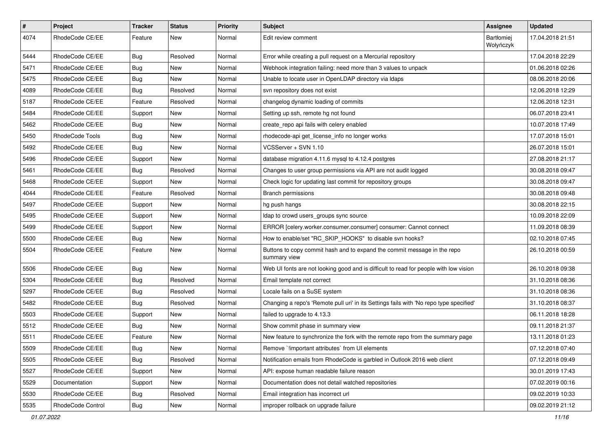| $\vert$ # | Project           | Tracker    | <b>Status</b> | <b>Priority</b> | Subject                                                                                  | Assignee                       | <b>Updated</b>   |
|-----------|-------------------|------------|---------------|-----------------|------------------------------------------------------------------------------------------|--------------------------------|------------------|
| 4074      | RhodeCode CE/EE   | Feature    | New           | Normal          | Edit review comment                                                                      | <b>Bartłomiej</b><br>Wołyńczyk | 17.04.2018 21:51 |
| 5444      | RhodeCode CE/EE   | Bug        | Resolved      | Normal          | Error while creating a pull request on a Mercurial repository                            |                                | 17.04.2018 22:29 |
| 5471      | RhodeCode CE/EE   | <b>Bug</b> | New           | Normal          | Webhook integration failing: need more than 3 values to unpack                           |                                | 01.06.2018 02:26 |
| 5475      | RhodeCode CE/EE   | <b>Bug</b> | <b>New</b>    | Normal          | Unable to locate user in OpenLDAP directory via Idaps                                    |                                | 08.06.2018 20:06 |
| 4089      | RhodeCode CE/EE   | <b>Bug</b> | Resolved      | Normal          | svn repository does not exist                                                            |                                | 12.06.2018 12:29 |
| 5187      | RhodeCode CE/EE   | Feature    | Resolved      | Normal          | changelog dynamic loading of commits                                                     |                                | 12.06.2018 12:31 |
| 5484      | RhodeCode CE/EE   | Support    | New           | Normal          | Setting up ssh, remote hg not found                                                      |                                | 06.07.2018 23:41 |
| 5462      | RhodeCode CE/EE   | <b>Bug</b> | New           | Normal          | create_repo api fails with celery enabled                                                |                                | 10.07.2018 17:49 |
| 5450      | RhodeCode Tools   | <b>Bug</b> | New           | Normal          | rhodecode-api get_license_info no longer works                                           |                                | 17.07.2018 15:01 |
| 5492      | RhodeCode CE/EE   | <b>Bug</b> | New           | Normal          | VCSServer + SVN 1.10                                                                     |                                | 26.07.2018 15:01 |
| 5496      | RhodeCode CE/EE   | Support    | New           | Normal          | database migration 4.11.6 mysql to 4.12.4 postgres                                       |                                | 27.08.2018 21:17 |
| 5461      | RhodeCode CE/EE   | Bug        | Resolved      | Normal          | Changes to user group permissions via API are not audit logged                           |                                | 30.08.2018 09:47 |
| 5468      | RhodeCode CE/EE   | Support    | New           | Normal          | Check logic for updating last commit for repository groups                               |                                | 30.08.2018 09:47 |
| 4044      | RhodeCode CE/EE   | Feature    | Resolved      | Normal          | <b>Branch permissions</b>                                                                |                                | 30.08.2018 09:48 |
| 5497      | RhodeCode CE/EE   | Support    | New           | Normal          | hg push hangs                                                                            |                                | 30.08.2018 22:15 |
| 5495      | RhodeCode CE/EE   | Support    | New           | Normal          | Idap to crowd users_groups sync source                                                   |                                | 10.09.2018 22:09 |
| 5499      | RhodeCode CE/EE   | Support    | New           | Normal          | ERROR [celery.worker.consumer.consumer] consumer: Cannot connect                         |                                | 11.09.2018 08:39 |
| 5500      | RhodeCode CE/EE   | <b>Bug</b> | New           | Normal          | How to enable/set "RC_SKIP_HOOKS" to disable svn hooks?                                  |                                | 02.10.2018 07:45 |
| 5504      | RhodeCode CE/EE   | Feature    | New           | Normal          | Buttons to copy commit hash and to expand the commit message in the repo<br>summary view |                                | 26.10.2018 00:59 |
| 5506      | RhodeCode CE/EE   | <b>Bug</b> | <b>New</b>    | Normal          | Web UI fonts are not looking good and is difficult to read for people with low vision    |                                | 26.10.2018 09:38 |
| 5304      | RhodeCode CE/EE   | <b>Bug</b> | Resolved      | Normal          | Email template not correct                                                               |                                | 31.10.2018 08:36 |
| 5297      | RhodeCode CE/EE   | <b>Bug</b> | Resolved      | Normal          | Locale fails on a SuSE system                                                            |                                | 31.10.2018 08:36 |
| 5482      | RhodeCode CE/EE   | Bug        | Resolved      | Normal          | Changing a repo's 'Remote pull uri' in its Settings fails with 'No repo type specified'  |                                | 31.10.2018 08:37 |
| 5503      | RhodeCode CE/EE   | Support    | New           | Normal          | failed to upgrade to 4.13.3                                                              |                                | 06.11.2018 18:28 |
| 5512      | RhodeCode CE/EE   | <b>Bug</b> | New           | Normal          | Show commit phase in summary view                                                        |                                | 09.11.2018 21:37 |
| 5511      | RhodeCode CE/EE   | Feature    | New           | Normal          | New feature to synchronize the fork with the remote repo from the summary page           |                                | 13.11.2018 01:23 |
| 5509      | RhodeCode CE/EE   | <b>Bug</b> | New           | Normal          | Remove `!important attributes` from UI elements                                          |                                | 07.12.2018 07:40 |
| 5505      | RhodeCode CE/EE   | <b>Bug</b> | Resolved      | Normal          | Notification emails from RhodeCode is garbled in Outlook 2016 web client                 |                                | 07.12.2018 09:49 |
| 5527      | RhodeCode CE/EE   | Support    | New           | Normal          | API: expose human readable failure reason                                                |                                | 30.01.2019 17:43 |
| 5529      | Documentation     | Support    | New           | Normal          | Documentation does not detail watched repositories                                       |                                | 07.02.2019 00:16 |
| 5530      | RhodeCode CE/EE   | <b>Bug</b> | Resolved      | Normal          | Email integration has incorrect url                                                      |                                | 09.02.2019 10:33 |
| 5535      | RhodeCode Control | <b>Bug</b> | New           | Normal          | improper rollback on upgrade failure                                                     |                                | 09.02.2019 21:12 |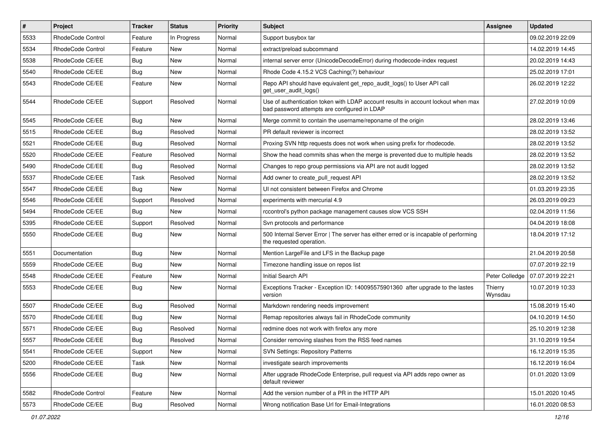| $\pmb{\#}$ | <b>Project</b>           | <b>Tracker</b> | <b>Status</b> | <b>Priority</b> | <b>Subject</b>                                                                                                                    | <b>Assignee</b>    | <b>Updated</b>   |
|------------|--------------------------|----------------|---------------|-----------------|-----------------------------------------------------------------------------------------------------------------------------------|--------------------|------------------|
| 5533       | RhodeCode Control        | Feature        | In Progress   | Normal          | Support busybox tar                                                                                                               |                    | 09.02.2019 22:09 |
| 5534       | <b>RhodeCode Control</b> | Feature        | <b>New</b>    | Normal          | extract/preload subcommand                                                                                                        |                    | 14.02.2019 14:45 |
| 5538       | RhodeCode CE/EE          | Bug            | New           | Normal          | internal server error (UnicodeDecodeError) during rhodecode-index request                                                         |                    | 20.02.2019 14:43 |
| 5540       | RhodeCode CE/EE          | <b>Bug</b>     | New           | Normal          | Rhode Code 4.15.2 VCS Caching(?) behaviour                                                                                        |                    | 25.02.2019 17:01 |
| 5543       | RhodeCode CE/EE          | Feature        | <b>New</b>    | Normal          | Repo API should have equivalent get_repo_audit_logs() to User API call<br>get_user_audit_logs()                                   |                    | 26.02.2019 12:22 |
| 5544       | RhodeCode CE/EE          | Support        | Resolved      | Normal          | Use of authentication token with LDAP account results in account lockout when max<br>bad password attempts are configured in LDAP |                    | 27.02.2019 10:09 |
| 5545       | RhodeCode CE/EE          | Bug            | New           | Normal          | Merge commit to contain the username/reponame of the origin                                                                       |                    | 28.02.2019 13:46 |
| 5515       | RhodeCode CE/EE          | <b>Bug</b>     | Resolved      | Normal          | PR default reviewer is incorrect                                                                                                  |                    | 28.02.2019 13:52 |
| 5521       | RhodeCode CE/EE          | Bug            | Resolved      | Normal          | Proxing SVN http requests does not work when using prefix for rhodecode.                                                          |                    | 28.02.2019 13:52 |
| 5520       | RhodeCode CE/EE          | Feature        | Resolved      | Normal          | Show the head commits shas when the merge is prevented due to multiple heads                                                      |                    | 28.02.2019 13:52 |
| 5490       | RhodeCode CE/EE          | Bug            | Resolved      | Normal          | Changes to repo group permissions via API are not audit logged                                                                    |                    | 28.02.2019 13:52 |
| 5537       | RhodeCode CE/EE          | Task           | Resolved      | Normal          | Add owner to create_pull_request API                                                                                              |                    | 28.02.2019 13:52 |
| 5547       | RhodeCode CE/EE          | Bug            | <b>New</b>    | Normal          | UI not consistent between Firefox and Chrome                                                                                      |                    | 01.03.2019 23:35 |
| 5546       | RhodeCode CE/EE          | Support        | Resolved      | Normal          | experiments with mercurial 4.9                                                                                                    |                    | 26.03.2019 09:23 |
| 5494       | RhodeCode CE/EE          | Bug            | <b>New</b>    | Normal          | rccontrol's python package management causes slow VCS SSH                                                                         |                    | 02.04.2019 11:56 |
| 5395       | RhodeCode CE/EE          | Support        | Resolved      | Normal          | Svn protocols and performance                                                                                                     |                    | 04.04.2019 18:08 |
| 5550       | RhodeCode CE/EE          | Bug            | <b>New</b>    | Normal          | 500 Internal Server Error   The server has either erred or is incapable of performing<br>the requested operation.                 |                    | 18.04.2019 17:12 |
| 5551       | Documentation            | Bug            | New           | Normal          | Mention LargeFile and LFS in the Backup page                                                                                      |                    | 21.04.2019 20:58 |
| 5559       | RhodeCode CE/EE          | Bug            | <b>New</b>    | Normal          | Timezone handling issue on repos list                                                                                             |                    | 07.07.2019 22:19 |
| 5548       | RhodeCode CE/EE          | Feature        | <b>New</b>    | Normal          | <b>Initial Search API</b>                                                                                                         | Peter Colledge     | 07.07.2019 22:21 |
| 5553       | RhodeCode CE/EE          | Bug            | New           | Normal          | Exceptions Tracker - Exception ID: 140095575901360 after upgrade to the lastes<br>version                                         | Thierry<br>Wynsdau | 10.07.2019 10:33 |
| 5507       | RhodeCode CE/EE          | Bug            | Resolved      | Normal          | Markdown rendering needs improvement                                                                                              |                    | 15.08.2019 15:40 |
| 5570       | RhodeCode CE/EE          | Bug            | <b>New</b>    | Normal          | Remap repositories always fail in RhodeCode community                                                                             |                    | 04.10.2019 14:50 |
| 5571       | RhodeCode CE/EE          | Bug            | Resolved      | Normal          | redmine does not work with firefox any more                                                                                       |                    | 25.10.2019 12:38 |
| 5557       | RhodeCode CE/EE          | Bug            | Resolved      | Normal          | Consider removing slashes from the RSS feed names                                                                                 |                    | 31.10.2019 19:54 |
| 5541       | RhodeCode CE/EE          | Support        | New           | Normal          | <b>SVN Settings: Repository Patterns</b>                                                                                          |                    | 16.12.2019 15:35 |
| 5200       | RhodeCode CE/EE          | Task           | New           | Normal          | investigate search improvements                                                                                                   |                    | 16.12.2019 16:04 |
| 5556       | RhodeCode CE/EE          | Bug            | New           | Normal          | After upgrade RhodeCode Enterprise, pull request via API adds repo owner as<br>default reviewer                                   |                    | 01.01.2020 13:09 |
| 5582       | RhodeCode Control        | Feature        | New           | Normal          | Add the version number of a PR in the HTTP API                                                                                    |                    | 15.01.2020 10:45 |
| 5573       | RhodeCode CE/EE          | <b>Bug</b>     | Resolved      | Normal          | Wrong notification Base Url for Email-Integrations                                                                                |                    | 16.01.2020 08:53 |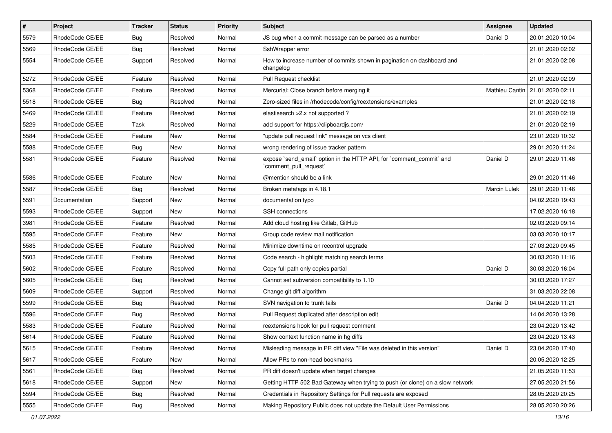| $\vert$ # | Project         | <b>Tracker</b> | <b>Status</b> | <b>Priority</b> | Subject                                                                                        | <b>Assignee</b>     | <b>Updated</b>   |
|-----------|-----------------|----------------|---------------|-----------------|------------------------------------------------------------------------------------------------|---------------------|------------------|
| 5579      | RhodeCode CE/EE | <b>Bug</b>     | Resolved      | Normal          | JS bug when a commit message can be parsed as a number                                         | Daniel D            | 20.01.2020 10:04 |
| 5569      | RhodeCode CE/EE | Bug            | Resolved      | Normal          | SshWrapper error                                                                               |                     | 21.01.2020 02:02 |
| 5554      | RhodeCode CE/EE | Support        | Resolved      | Normal          | How to increase number of commits shown in pagination on dashboard and<br>changelog            |                     | 21.01.2020 02:08 |
| 5272      | RhodeCode CE/EE | Feature        | Resolved      | Normal          | Pull Request checklist                                                                         |                     | 21.01.2020 02:09 |
| 5368      | RhodeCode CE/EE | Feature        | Resolved      | Normal          | Mercurial: Close branch before merging it                                                      | Mathieu Cantin      | 21.01.2020 02:11 |
| 5518      | RhodeCode CE/EE | Bug            | Resolved      | Normal          | Zero-sized files in /rhodecode/config/rcextensions/examples                                    |                     | 21.01.2020 02:18 |
| 5469      | RhodeCode CE/EE | Feature        | Resolved      | Normal          | elastisearch > 2.x not supported?                                                              |                     | 21.01.2020 02:19 |
| 5229      | RhodeCode CE/EE | Task           | Resolved      | Normal          | add support for https://clipboardjs.com/                                                       |                     | 21.01.2020 02:19 |
| 5584      | RhodeCode CE/EE | Feature        | <b>New</b>    | Normal          | "update pull request link" message on vcs client                                               |                     | 23.01.2020 10:32 |
| 5588      | RhodeCode CE/EE | Bug            | New           | Normal          | wrong rendering of issue tracker pattern                                                       |                     | 29.01.2020 11:24 |
| 5581      | RhodeCode CE/EE | Feature        | Resolved      | Normal          | expose `send_email` option in the HTTP API, for `comment_commit` and<br>`comment_pull_request` | Daniel D            | 29.01.2020 11:46 |
| 5586      | RhodeCode CE/EE | Feature        | <b>New</b>    | Normal          | @mention should be a link                                                                      |                     | 29.01.2020 11:46 |
| 5587      | RhodeCode CE/EE | Bug            | Resolved      | Normal          | Broken metatags in 4.18.1                                                                      | <b>Marcin Lulek</b> | 29.01.2020 11:46 |
| 5591      | Documentation   | Support        | New           | Normal          | documentation typo                                                                             |                     | 04.02.2020 19:43 |
| 5593      | RhodeCode CE/EE | Support        | New           | Normal          | <b>SSH</b> connections                                                                         |                     | 17.02.2020 16:18 |
| 3981      | RhodeCode CE/EE | Feature        | Resolved      | Normal          | Add cloud hosting like Gitlab, GitHub                                                          |                     | 02.03.2020 09:14 |
| 5595      | RhodeCode CE/EE | Feature        | New           | Normal          | Group code review mail notification                                                            |                     | 03.03.2020 10:17 |
| 5585      | RhodeCode CE/EE | Feature        | Resolved      | Normal          | Minimize downtime on rccontrol upgrade                                                         |                     | 27.03.2020 09:45 |
| 5603      | RhodeCode CE/EE | Feature        | Resolved      | Normal          | Code search - highlight matching search terms                                                  |                     | 30.03.2020 11:16 |
| 5602      | RhodeCode CE/EE | Feature        | Resolved      | Normal          | Copy full path only copies partial                                                             | Daniel D            | 30.03.2020 16:04 |
| 5605      | RhodeCode CE/EE | Bug            | Resolved      | Normal          | Cannot set subversion compatibility to 1.10                                                    |                     | 30.03.2020 17:27 |
| 5609      | RhodeCode CE/EE | Support        | Resolved      | Normal          | Change git diff algorithm                                                                      |                     | 31.03.2020 22:08 |
| 5599      | RhodeCode CE/EE | Bug            | Resolved      | Normal          | SVN navigation to trunk fails                                                                  | Daniel D            | 04.04.2020 11:21 |
| 5596      | RhodeCode CE/EE | Bug            | Resolved      | Normal          | Pull Request duplicated after description edit                                                 |                     | 14.04.2020 13:28 |
| 5583      | RhodeCode CE/EE | Feature        | Resolved      | Normal          | rcextensions hook for pull request comment                                                     |                     | 23.04.2020 13:42 |
| 5614      | RhodeCode CE/EE | Feature        | Resolved      | Normal          | Show context function name in hg diffs                                                         |                     | 23.04.2020 13:43 |
| 5615      | RhodeCode CE/EE | Feature        | Resolved      | Normal          | Misleading message in PR diff view "File was deleted in this version"                          | Daniel D            | 23.04.2020 17:40 |
| 5617      | RhodeCode CE/EE | Feature        | New           | Normal          | Allow PRs to non-head bookmarks                                                                |                     | 20.05.2020 12:25 |
| 5561      | RhodeCode CE/EE | Bug            | Resolved      | Normal          | PR diff doesn't update when target changes                                                     |                     | 21.05.2020 11:53 |
| 5618      | RhodeCode CE/EE | Support        | New           | Normal          | Getting HTTP 502 Bad Gateway when trying to push (or clone) on a slow network                  |                     | 27.05.2020 21:56 |
| 5594      | RhodeCode CE/EE | Bug            | Resolved      | Normal          | Credentials in Repository Settings for Pull requests are exposed                               |                     | 28.05.2020 20:25 |
| 5555      | RhodeCode CE/EE | <b>Bug</b>     | Resolved      | Normal          | Making Repository Public does not update the Default User Permissions                          |                     | 28.05.2020 20:26 |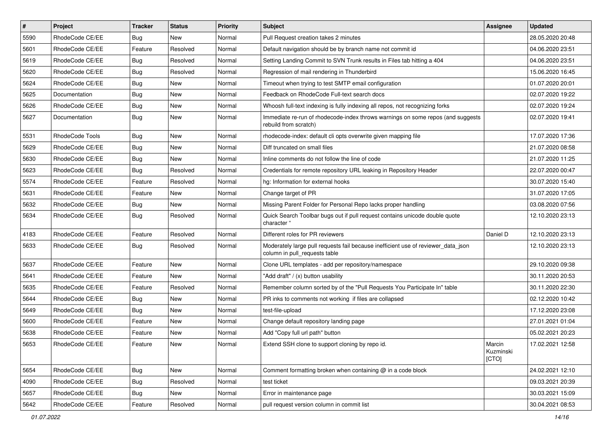| #    | Project         | <b>Tracker</b> | <b>Status</b> | <b>Priority</b> | <b>Subject</b>                                                                                                     | <b>Assignee</b>              | <b>Updated</b>   |
|------|-----------------|----------------|---------------|-----------------|--------------------------------------------------------------------------------------------------------------------|------------------------------|------------------|
| 5590 | RhodeCode CE/EE | Bug            | New           | Normal          | Pull Request creation takes 2 minutes                                                                              |                              | 28.05.2020 20:48 |
| 5601 | RhodeCode CE/EE | Feature        | Resolved      | Normal          | Default navigation should be by branch name not commit id                                                          |                              | 04.06.2020 23:51 |
| 5619 | RhodeCode CE/EE | Bug            | Resolved      | Normal          | Setting Landing Commit to SVN Trunk results in Files tab hitting a 404                                             |                              | 04.06.2020 23:51 |
| 5620 | RhodeCode CE/EE | <b>Bug</b>     | Resolved      | Normal          | Regression of mail rendering in Thunderbird                                                                        |                              | 15.06.2020 16:45 |
| 5624 | RhodeCode CE/EE | Bug            | <b>New</b>    | Normal          | Timeout when trying to test SMTP email configuration                                                               |                              | 01.07.2020 20:01 |
| 5625 | Documentation   | Bug            | New           | Normal          | Feedback on RhodeCode Full-text search docs                                                                        |                              | 02.07.2020 19:22 |
| 5626 | RhodeCode CE/EE | Bug            | New           | Normal          | Whoosh full-text indexing is fully indexing all repos, not recognizing forks                                       |                              | 02.07.2020 19:24 |
| 5627 | Documentation   | Bug            | <b>New</b>    | Normal          | Immediate re-run of rhodecode-index throws warnings on some repos (and suggests<br>rebuild from scratch)           |                              | 02.07.2020 19:41 |
| 5531 | RhodeCode Tools | Bug            | <b>New</b>    | Normal          | rhodecode-index: default cli opts overwrite given mapping file                                                     |                              | 17.07.2020 17:36 |
| 5629 | RhodeCode CE/EE | Bug            | New           | Normal          | Diff truncated on small files                                                                                      |                              | 21.07.2020 08:58 |
| 5630 | RhodeCode CE/EE | Bug            | <b>New</b>    | Normal          | Inline comments do not follow the line of code                                                                     |                              | 21.07.2020 11:25 |
| 5623 | RhodeCode CE/EE | Bug            | Resolved      | Normal          | Credentials for remote repository URL leaking in Repository Header                                                 |                              | 22.07.2020 00:47 |
| 5574 | RhodeCode CE/EE | Feature        | Resolved      | Normal          | hg: Information for external hooks                                                                                 |                              | 30.07.2020 15:40 |
| 5631 | RhodeCode CE/EE | Feature        | New           | Normal          | Change target of PR                                                                                                |                              | 31.07.2020 17:05 |
| 5632 | RhodeCode CE/EE | Bug            | <b>New</b>    | Normal          | Missing Parent Folder for Personal Repo lacks proper handling                                                      |                              | 03.08.2020 07:56 |
| 5634 | RhodeCode CE/EE | Bug            | Resolved      | Normal          | Quick Search Toolbar bugs out if pull request contains unicode double quote<br>character "                         |                              | 12.10.2020 23:13 |
| 4183 | RhodeCode CE/EE | Feature        | Resolved      | Normal          | Different roles for PR reviewers                                                                                   | Daniel D                     | 12.10.2020 23:13 |
| 5633 | RhodeCode CE/EE | Bug            | Resolved      | Normal          | Moderately large pull requests fail because inefficient use of reviewer_data_json<br>column in pull requests table |                              | 12.10.2020 23:13 |
| 5637 | RhodeCode CE/EE | Feature        | <b>New</b>    | Normal          | Clone URL templates - add per repository/namespace                                                                 |                              | 29.10.2020 09:38 |
| 5641 | RhodeCode CE/EE | Feature        | New           | Normal          | "Add draft" / (x) button usability                                                                                 |                              | 30.11.2020 20:53 |
| 5635 | RhodeCode CE/EE | Feature        | Resolved      | Normal          | Remember column sorted by of the "Pull Requests You Participate In" table                                          |                              | 30.11.2020 22:30 |
| 5644 | RhodeCode CE/EE | Bug            | New           | Normal          | PR inks to comments not working if files are collapsed                                                             |                              | 02.12.2020 10:42 |
| 5649 | RhodeCode CE/EE | Bug            | New           | Normal          | test-file-upload                                                                                                   |                              | 17.12.2020 23:08 |
| 5600 | RhodeCode CE/EE | Feature        | New           | Normal          | Change default repository landing page                                                                             |                              | 27.01.2021 01:04 |
| 5638 | RhodeCode CE/EE | Feature        | New           | Normal          | Add "Copy full url path" button                                                                                    |                              | 05.02.2021 20:23 |
| 5653 | RhodeCode CE/EE | Feature        | New           | Normal          | Extend SSH clone to support cloning by repo id.                                                                    | Marcin<br>Kuzminski<br>[CTO] | 17.02.2021 12:58 |
| 5654 | RhodeCode CE/EE | <b>Bug</b>     | New           | Normal          | Comment formatting broken when containing $@$ in a code block                                                      |                              | 24.02.2021 12:10 |
| 4090 | RhodeCode CE/EE | Bug            | Resolved      | Normal          | test ticket                                                                                                        |                              | 09.03.2021 20:39 |
| 5657 | RhodeCode CE/EE | Bug            | New           | Normal          | Error in maintenance page                                                                                          |                              | 30.03.2021 15:09 |
| 5642 | RhodeCode CE/EE | Feature        | Resolved      | Normal          | pull request version column in commit list                                                                         |                              | 30.04.2021 08:53 |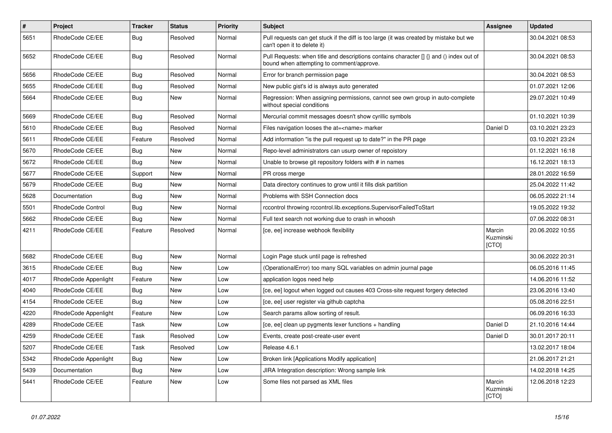| #    | Project              | <b>Tracker</b> | <b>Status</b> | <b>Priority</b> | <b>Subject</b>                                                                                                                       | Assignee                     | <b>Updated</b>   |
|------|----------------------|----------------|---------------|-----------------|--------------------------------------------------------------------------------------------------------------------------------------|------------------------------|------------------|
| 5651 | RhodeCode CE/EE      | Bug            | Resolved      | Normal          | Pull requests can get stuck if the diff is too large (it was created by mistake but we<br>can't open it to delete it)                |                              | 30.04.2021 08:53 |
| 5652 | RhodeCode CE/EE      | Bug            | Resolved      | Normal          | Pull Requests: when title and descriptions contains character [] {} and () index out of<br>bound when attempting to comment/approve. |                              | 30.04.2021 08:53 |
| 5656 | RhodeCode CE/EE      | Bug            | Resolved      | Normal          | Error for branch permission page                                                                                                     |                              | 30.04.2021 08:53 |
| 5655 | RhodeCode CE/EE      | Bug            | Resolved      | Normal          | New public gist's id is always auto generated                                                                                        |                              | 01.07.2021 12:06 |
| 5664 | RhodeCode CE/EE      | Bug            | New           | Normal          | Regression: When assigning permissions, cannot see own group in auto-complete<br>without special conditions                          |                              | 29.07.2021 10:49 |
| 5669 | RhodeCode CE/EE      | <b>Bug</b>     | Resolved      | Normal          | Mercurial commit messages doesn't show cyrillic symbols                                                                              |                              | 01.10.2021 10:39 |
| 5610 | RhodeCode CE/EE      | Bug            | Resolved      | Normal          | Files navigation looses the at= <name> marker</name>                                                                                 | Daniel D                     | 03.10.2021 23:23 |
| 5611 | RhodeCode CE/EE      | Feature        | Resolved      | Normal          | Add information "is the pull request up to date?" in the PR page                                                                     |                              | 03.10.2021 23:24 |
| 5670 | RhodeCode CE/EE      | Bug            | New           | Normal          | Repo-level administrators can usurp owner of repoistory                                                                              |                              | 01.12.2021 16:18 |
| 5672 | RhodeCode CE/EE      | Bug            | <b>New</b>    | Normal          | Unable to browse git repository folders with # in names                                                                              |                              | 16.12.2021 18:13 |
| 5677 | RhodeCode CE/EE      | Support        | New           | Normal          | PR cross merge                                                                                                                       |                              | 28.01.2022 16:59 |
| 5679 | RhodeCode CE/EE      | <b>Bug</b>     | New           | Normal          | Data directory continues to grow until it fills disk partition                                                                       |                              | 25.04.2022 11:42 |
| 5628 | Documentation        | Bug            | New           | Normal          | Problems with SSH Connection docs                                                                                                    |                              | 06.05.2022 21:14 |
| 5501 | RhodeCode Control    | Bug            | New           | Normal          | rccontrol throwing rccontrol.lib.exceptions.SupervisorFailedToStart                                                                  |                              | 19.05.2022 19:32 |
| 5662 | RhodeCode CE/EE      | Bug            | New           | Normal          | Full text search not working due to crash in whoosh                                                                                  |                              | 07.06.2022 08:31 |
| 4211 | RhodeCode CE/EE      | Feature        | Resolved      | Normal          | [ce, ee] increase webhook flexibility                                                                                                | Marcin<br>Kuzminski<br>[CTO] | 20.06.2022 10:55 |
| 5682 | RhodeCode CE/EE      | Bug            | New           | Normal          | Login Page stuck until page is refreshed                                                                                             |                              | 30.06.2022 20:31 |
| 3615 | RhodeCode CE/EE      | Bug            | New           | Low             | (OperationalError) too many SQL variables on admin journal page                                                                      |                              | 06.05.2016 11:45 |
| 4017 | RhodeCode Appenlight | Feature        | New           | Low             | application logos need help                                                                                                          |                              | 14.06.2016 11:52 |
| 4040 | RhodeCode CE/EE      | Bug            | New           | Low             | [ce, ee] logout when logged out causes 403 Cross-site request forgery detected                                                       |                              | 23.06.2016 13:40 |
| 4154 | RhodeCode CE/EE      | Bug            | New           | Low             | [ce, ee] user register via github captcha                                                                                            |                              | 05.08.2016 22:51 |
| 4220 | RhodeCode Appenlight | Feature        | New           | Low             | Search params allow sorting of result.                                                                                               |                              | 06.09.2016 16:33 |
| 4289 | RhodeCode CE/EE      | Task           | New           | Low             | [ce, ee] clean up pygments lexer functions + handling                                                                                | Daniel D                     | 21.10.2016 14:44 |
| 4259 | RhodeCode CE/EE      | Task           | Resolved      | Low             | Events, create post-create-user event                                                                                                | Daniel D                     | 30.01.2017 20:11 |
| 5207 | RhodeCode CE/EE      | Task           | Resolved      | Low             | Release 4.6.1                                                                                                                        |                              | 13.02.2017 18:04 |
| 5342 | RhodeCode Appenlight | <b>Bug</b>     | New           | Low             | Broken link [Applications Modify application]                                                                                        |                              | 21.06.2017 21:21 |
| 5439 | Documentation        | Bug            | New           | Low             | JIRA Integration description: Wrong sample link                                                                                      |                              | 14.02.2018 14:25 |
| 5441 | RhodeCode CE/EE      | Feature        | New           | Low             | Some files not parsed as XML files                                                                                                   | Marcin<br>Kuzminski<br>[CTO] | 12.06.2018 12:23 |